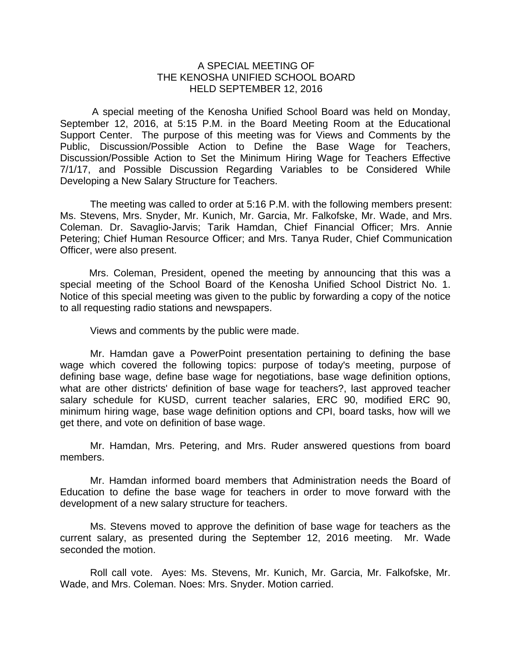## A SPECIAL MEETING OF THE KENOSHA UNIFIED SCHOOL BOARD HELD SEPTEMBER 12, 2016

A special meeting of the Kenosha Unified School Board was held on Monday, September 12, 2016, at 5:15 P.M. in the Board Meeting Room at the Educational Support Center. The purpose of this meeting was for Views and Comments by the Public, Discussion/Possible Action to Define the Base Wage for Teachers, Discussion/Possible Action to Set the Minimum Hiring Wage for Teachers Effective 7/1/17, and Possible Discussion Regarding Variables to be Considered While Developing a New Salary Structure for Teachers.

The meeting was called to order at 5:16 P.M. with the following members present: Ms. Stevens, Mrs. Snyder, Mr. Kunich, Mr. Garcia, Mr. Falkofske, Mr. Wade, and Mrs. Coleman. Dr. Savaglio-Jarvis; Tarik Hamdan, Chief Financial Officer; Mrs. Annie Petering; Chief Human Resource Officer; and Mrs. Tanya Ruder, Chief Communication Officer, were also present.

Mrs. Coleman, President, opened the meeting by announcing that this was a special meeting of the School Board of the Kenosha Unified School District No. 1. Notice of this special meeting was given to the public by forwarding a copy of the notice to all requesting radio stations and newspapers.

Views and comments by the public were made.

Mr. Hamdan gave a PowerPoint presentation pertaining to defining the base wage which covered the following topics: purpose of today's meeting, purpose of defining base wage, define base wage for negotiations, base wage definition options, what are other districts' definition of base wage for teachers?, last approved teacher salary schedule for KUSD, current teacher salaries, ERC 90, modified ERC 90, minimum hiring wage, base wage definition options and CPI, board tasks, how will we get there, and vote on definition of base wage.

Mr. Hamdan, Mrs. Petering, and Mrs. Ruder answered questions from board members.

Mr. Hamdan informed board members that Administration needs the Board of Education to define the base wage for teachers in order to move forward with the development of a new salary structure for teachers.

Ms. Stevens moved to approve the definition of base wage for teachers as the current salary, as presented during the September 12, 2016 meeting. Mr. Wade seconded the motion.

Roll call vote. Ayes: Ms. Stevens, Mr. Kunich, Mr. Garcia, Mr. Falkofske, Mr. Wade, and Mrs. Coleman. Noes: Mrs. Snyder. Motion carried.